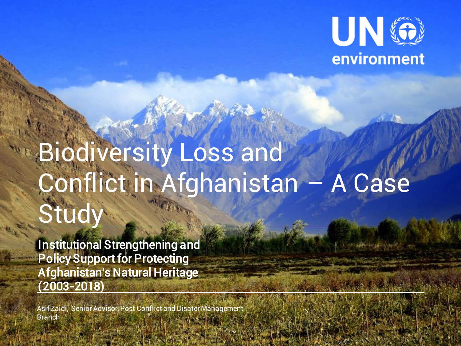

# Biodiversity Loss and Conflict in Afghanistan – A Case Study

Institutional Strengthening and Policy Support for Protecting Afghanistan's Natural Heritage (2003-2018)

Asif Zaidi, Senior Advisor, Post Conflict and Disater Management Branch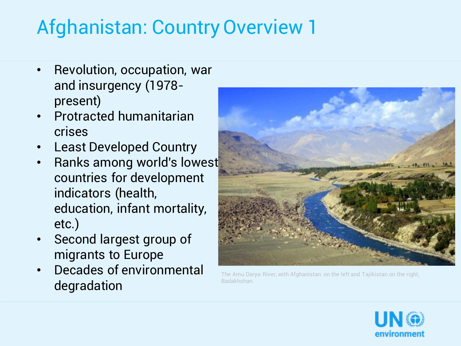### Afghanistan: Country Overview 1

- Revolution, occupation, war and insurgency (1978 present)
- Protracted humanitarian crises
- **Least Developed Country**
- Ranks among world's lowest countries for development indicators (health, education, infant mortality, etc.)
- Second largest group of migrants to Europe
- Decades of environmental degradation



The Amu Darya River, with Afghanistan on the left and Tajikistan on the right, Badakhshan.

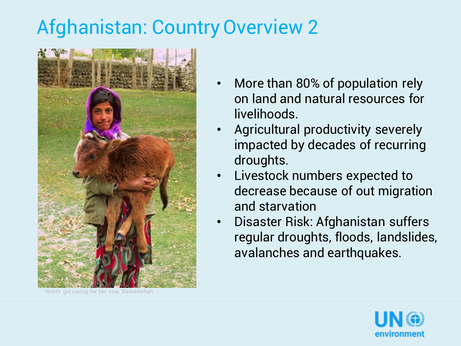### Afghanistan: Country Overview 2



Wakhi girl caring for her cow, Badakhshan

- More than 80% of population rely on land and natural resources for livelihoods.
- Agricultural productivity severely impacted by decades of recurring droughts.
- Livestock numbers expected to decrease because of out migration and starvation
- Disaster Risk: Afghanistan suffers regular droughts, floods, landslides, avalanches and earthquakes.

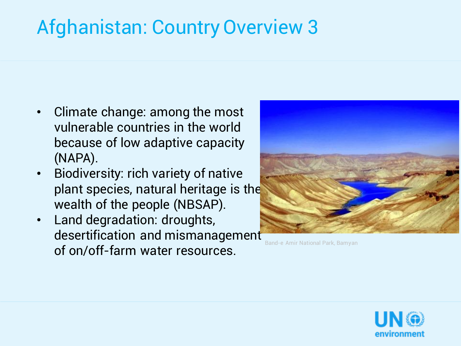### Afghanistan: Country Overview 3

- Climate change: among the most vulnerable countries in the world because of low adaptive capacity (NAPA).
- Biodiversity: rich variety of native plant species, natural heritage is the wealth of the people (NBSAP).
- Land degradation: droughts, desertification and mismanagement of on/off-farm water resources.



Band-e Amir National Park, Bamyan

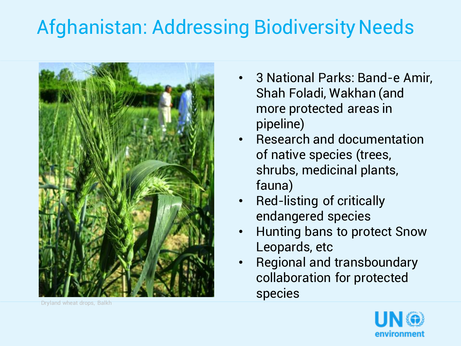### Afghanistan: Addressing Biodiversity Needs



- 3 National Parks: Band-e Amir, Shah Foladi, Wakhan (and more protected areas in pipeline)
- Research and documentation of native species (trees, shrubs, medicinal plants, fauna)
- Red-listing of critically endangered species
- Hunting bans to protect Snow Leopards, etc
- Regional and transboundary collaboration for protected species



Dryland wheat drops, Balkh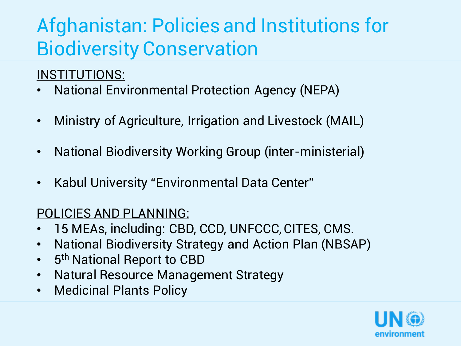### Afghanistan: Policies and Institutions for Biodiversity Conservation

#### INSTITUTIONS:

- National Environmental Protection Agency (NEPA)
- Ministry of Agriculture, Irrigation and Livestock (MAIL)
- National Biodiversity Working Group (inter-ministerial)
- Kabul University "Environmental Data Center"

#### POLICIES AND PLANNING:

- 15 MEAs, including: CBD, CCD, UNFCCC, CITES, CMS.
- National Biodiversity Strategy and Action Plan (NBSAP)
- 5<sup>th</sup> National Report to CBD
- Natural Resource Management Strategy
- Medicinal Plants Policy

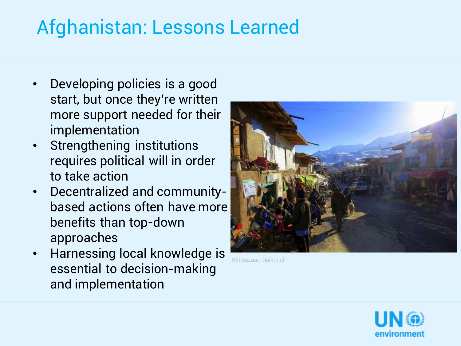### Afghanistan: Lessons Learned

- Developing policies is a good start, but once they're written more support needed for their implementation
- Strengthening institutions requires political will in order to take action
- Decentralized and communitybased actions often have more benefits than top-down approaches
- Harnessing local knowledge is essential to decision-making and implementation



Nili Bazaar, Daikundi

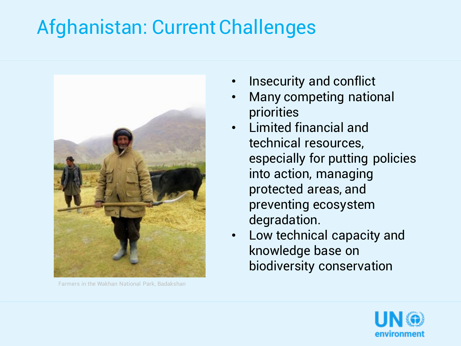### Afghanistan: Current Challenges



Farmers in the Wakhan National Park, Badakshan

- Insecurity and conflict
- Many competing national priorities
- Limited financial and technical resources, especially for putting policies into action, managing protected areas, and preventing ecosystem degradation.
- Low technical capacity and knowledge base on biodiversity conservation